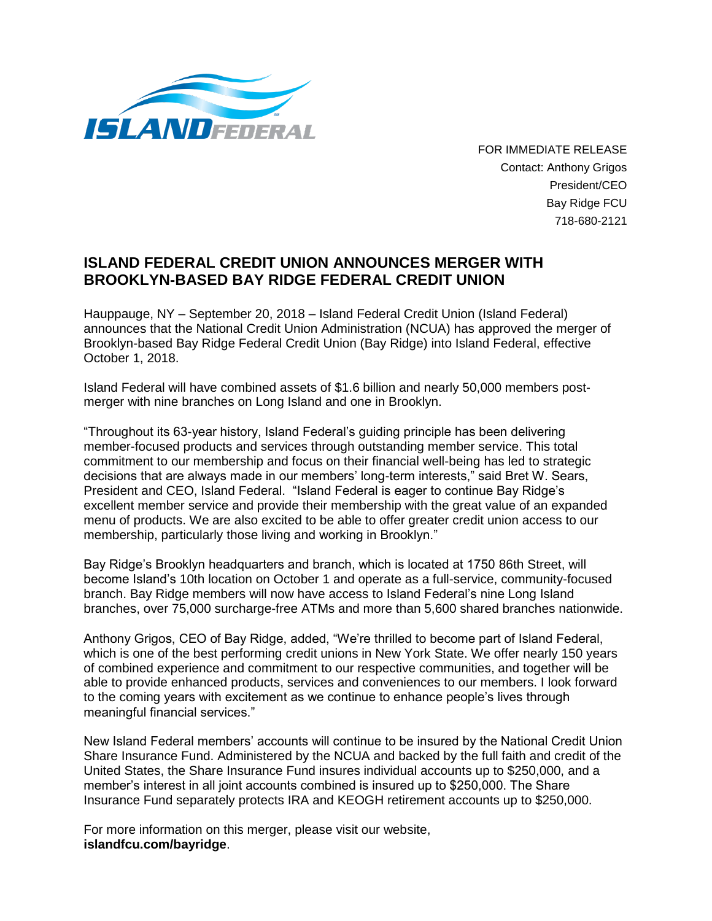

FOR IMMEDIATE RELEASE Contact: Anthony Grigos President/CEO Bay Ridge FCU 718-680-2121

## **ISLAND FEDERAL CREDIT UNION ANNOUNCES MERGER WITH BROOKLYN-BASED BAY RIDGE FEDERAL CREDIT UNION**

Hauppauge, NY – September 20, 2018 – Island Federal Credit Union (Island Federal) announces that the National Credit Union Administration (NCUA) has approved the merger of Brooklyn-based Bay Ridge Federal Credit Union (Bay Ridge) into Island Federal, effective October 1, 2018.

Island Federal will have combined assets of \$1.6 billion and nearly 50,000 members postmerger with nine branches on Long Island and one in Brooklyn.

"Throughout its 63-year history, Island Federal's guiding principle has been delivering member-focused products and services through outstanding member service. This total commitment to our membership and focus on their financial well-being has led to strategic decisions that are always made in our members' long-term interests," said Bret W. Sears, President and CEO, Island Federal. "Island Federal is eager to continue Bay Ridge's excellent member service and provide their membership with the great value of an expanded menu of products. We are also excited to be able to offer greater credit union access to our membership, particularly those living and working in Brooklyn."

Bay Ridge's Brooklyn headquarters and branch, which is located at 1750 86th Street, will become Island's 10th location on October 1 and operate as a full-service, community-focused branch. Bay Ridge members will now have access to Island Federal's nine Long Island branches, over 75,000 surcharge-free ATMs and more than 5,600 shared branches nationwide.

Anthony Grigos, CEO of Bay Ridge, added, "We're thrilled to become part of Island Federal, which is one of the best performing credit unions in New York State. We offer nearly 150 years of combined experience and commitment to our respective communities, and together will be able to provide enhanced products, services and conveniences to our members. I look forward to the coming years with excitement as we continue to enhance people's lives through meaningful financial services."

New Island Federal members' accounts will continue to be insured by the National Credit Union Share Insurance Fund. Administered by the NCUA and backed by the full faith and credit of the United States, the Share Insurance Fund insures individual accounts up to \$250,000, and a member's interest in all joint accounts combined is insured up to \$250,000. The Share Insurance Fund separately protects IRA and KEOGH retirement accounts up to \$250,000.

For more information on this merger, please visit our website, **islandfcu.com/bayridge**.